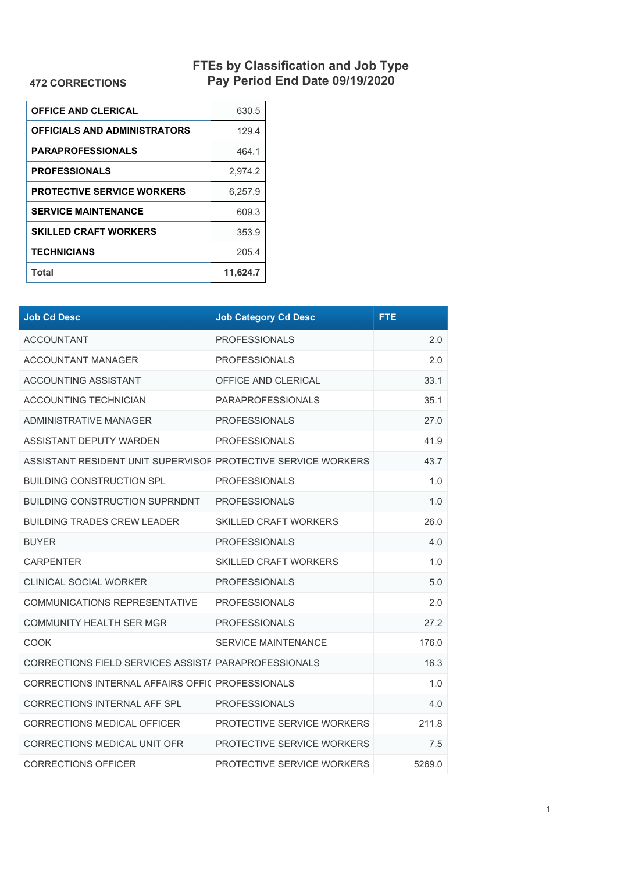## **FTEs by Classification and Job Type Pay Period End Date 09/19/2020**

## **472 CORRECTIONS**

| <b>OFFICE AND CLERICAL</b>        | 630.5    |
|-----------------------------------|----------|
| OFFICIALS AND ADMINISTRATORS      | 129.4    |
| <b>PARAPROFESSIONALS</b>          | 464.1    |
| <b>PROFESSIONALS</b>              | 2.974.2  |
| <b>PROTECTIVE SERVICE WORKERS</b> | 6.257.9  |
| <b>SERVICE MAINTENANCE</b>        | 609.3    |
| <b>SKILLED CRAFT WORKERS</b>      | 353.9    |
| <b>TECHNICIANS</b>                | 205.4    |
| Total                             | 11,624.7 |

| <b>Job Cd Desc</b>                                            | <b>Job Category Cd Desc</b>  | FTE.   |
|---------------------------------------------------------------|------------------------------|--------|
| <b>ACCOUNTANT</b>                                             | <b>PROFESSIONALS</b>         | 2.0    |
| <b>ACCOUNTANT MANAGER</b>                                     | <b>PROFESSIONALS</b>         | 2.0    |
| ACCOUNTING ASSISTANT                                          | OFFICE AND CLERICAL          | 33.1   |
| <b>ACCOUNTING TECHNICIAN</b>                                  | <b>PARAPROFESSIONALS</b>     | 35.1   |
| ADMINISTRATIVE MANAGER                                        | <b>PROFESSIONALS</b>         | 27.0   |
| ASSISTANT DEPUTY WARDEN                                       | <b>PROFESSIONALS</b>         | 41.9   |
| ASSISTANT RESIDENT UNIT SUPERVISOF PROTECTIVE SERVICE WORKERS |                              | 43.7   |
| <b>BUILDING CONSTRUCTION SPL</b>                              | <b>PROFESSIONALS</b>         | 1.0    |
| <b>BUILDING CONSTRUCTION SUPRNDNT</b>                         | <b>PROFESSIONALS</b>         | 1.0    |
| <b>BUILDING TRADES CREW LEADER</b>                            | <b>SKILLED CRAFT WORKERS</b> | 26.0   |
| <b>BUYER</b>                                                  | <b>PROFESSIONALS</b>         | 4.0    |
| <b>CARPENTER</b>                                              | <b>SKILLED CRAFT WORKERS</b> | 1.0    |
| <b>CLINICAL SOCIAL WORKER</b>                                 | <b>PROFESSIONALS</b>         | 5.0    |
| COMMUNICATIONS REPRESENTATIVE                                 | <b>PROFESSIONALS</b>         | 2.0    |
| COMMUNITY HEALTH SER MGR                                      | <b>PROFESSIONALS</b>         | 27.2   |
| <b>COOK</b>                                                   | <b>SERVICE MAINTENANCE</b>   | 176.0  |
| CORRECTIONS FIELD SERVICES ASSIST/ PARAPROFESSIONALS          |                              | 16.3   |
| CORRECTIONS INTERNAL AFFAIRS OFFIC PROFESSIONALS              |                              | 1.0    |
| CORRECTIONS INTERNAL AFF SPL                                  | <b>PROFESSIONALS</b>         | 4.0    |
| CORRECTIONS MEDICAL OFFICER                                   | PROTECTIVE SERVICE WORKERS   | 211.8  |
| CORRECTIONS MEDICAL UNIT OFR                                  | PROTECTIVE SERVICE WORKERS   | 7.5    |
| <b>CORRECTIONS OFFICER</b>                                    | PROTECTIVE SERVICE WORKERS   | 5269.0 |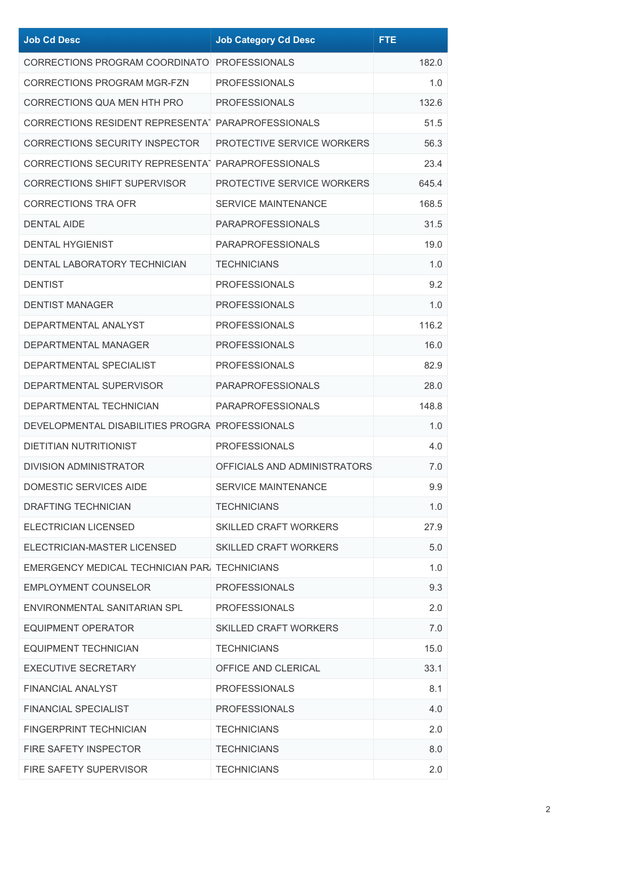| <b>Job Cd Desc</b>                                             | <b>Job Category Cd Desc</b>  | <b>FTE</b> |
|----------------------------------------------------------------|------------------------------|------------|
| CORRECTIONS PROGRAM COORDINATO PROFESSIONALS                   |                              | 182.0      |
| <b>CORRECTIONS PROGRAM MGR-FZN</b>                             | <b>PROFESSIONALS</b>         | 1.0        |
| CORRECTIONS QUA MEN HTH PRO                                    | <b>PROFESSIONALS</b>         | 132.6      |
| CORRECTIONS RESIDENT REPRESENTA <sup>1</sup> PARAPROFESSIONALS |                              | 51.5       |
| <b>CORRECTIONS SECURITY INSPECTOR</b>                          | PROTECTIVE SERVICE WORKERS   | 56.3       |
| CORRECTIONS SECURITY REPRESENTAT PARAPROFESSIONALS             |                              | 23.4       |
| <b>CORRECTIONS SHIFT SUPERVISOR</b>                            | PROTECTIVE SERVICE WORKERS   | 645.4      |
| <b>CORRECTIONS TRA OFR</b>                                     | <b>SERVICE MAINTENANCE</b>   | 168.5      |
| <b>DENTAL AIDE</b>                                             | <b>PARAPROFESSIONALS</b>     | 31.5       |
| <b>DENTAL HYGIENIST</b>                                        | <b>PARAPROFESSIONALS</b>     | 19.0       |
| DENTAL LABORATORY TECHNICIAN                                   | <b>TECHNICIANS</b>           | 1.0        |
| <b>DENTIST</b>                                                 | <b>PROFESSIONALS</b>         | 9.2        |
| <b>DENTIST MANAGER</b>                                         | <b>PROFESSIONALS</b>         | 1.0        |
| DEPARTMENTAL ANALYST                                           | <b>PROFESSIONALS</b>         | 116.2      |
| DEPARTMENTAL MANAGER                                           | <b>PROFESSIONALS</b>         | 16.0       |
| DEPARTMENTAL SPECIALIST                                        | <b>PROFESSIONALS</b>         | 82.9       |
| DEPARTMENTAL SUPERVISOR                                        | <b>PARAPROFESSIONALS</b>     | 28.0       |
| DEPARTMENTAL TECHNICIAN                                        | <b>PARAPROFESSIONALS</b>     | 148.8      |
| DEVELOPMENTAL DISABILITIES PROGRA PROFESSIONALS                |                              | 1.0        |
| <b>DIETITIAN NUTRITIONIST</b>                                  | <b>PROFESSIONALS</b>         | 4.0        |
| DIVISION ADMINISTRATOR                                         | OFFICIALS AND ADMINISTRATORS | 7.0        |
| <b>DOMESTIC SERVICES AIDE</b>                                  | SERVICE MAINTENANCE          | 9.9        |
| DRAFTING TECHNICIAN                                            | <b>TECHNICIANS</b>           | 1.0        |
| ELECTRICIAN LICENSED                                           | <b>SKILLED CRAFT WORKERS</b> | 27.9       |
| ELECTRICIAN-MASTER LICENSED                                    | <b>SKILLED CRAFT WORKERS</b> | 5.0        |
| EMERGENCY MEDICAL TECHNICIAN PAR. TECHNICIANS                  |                              | 1.0        |
| EMPLOYMENT COUNSELOR                                           | <b>PROFESSIONALS</b>         | 9.3        |
| ENVIRONMENTAL SANITARIAN SPL                                   | <b>PROFESSIONALS</b>         | 2.0        |
| EQUIPMENT OPERATOR                                             | SKILLED CRAFT WORKERS        | 7.0        |
| <b>EQUIPMENT TECHNICIAN</b>                                    | <b>TECHNICIANS</b>           | 15.0       |
| <b>EXECUTIVE SECRETARY</b>                                     | OFFICE AND CLERICAL          | 33.1       |
| <b>FINANCIAL ANALYST</b>                                       | <b>PROFESSIONALS</b>         | 8.1        |
| FINANCIAL SPECIALIST                                           | <b>PROFESSIONALS</b>         | 4.0        |
| <b>FINGERPRINT TECHNICIAN</b>                                  | <b>TECHNICIANS</b>           | 2.0        |
| <b>FIRE SAFETY INSPECTOR</b>                                   | <b>TECHNICIANS</b>           | 8.0        |
| FIRE SAFETY SUPERVISOR                                         | <b>TECHNICIANS</b>           | 2.0        |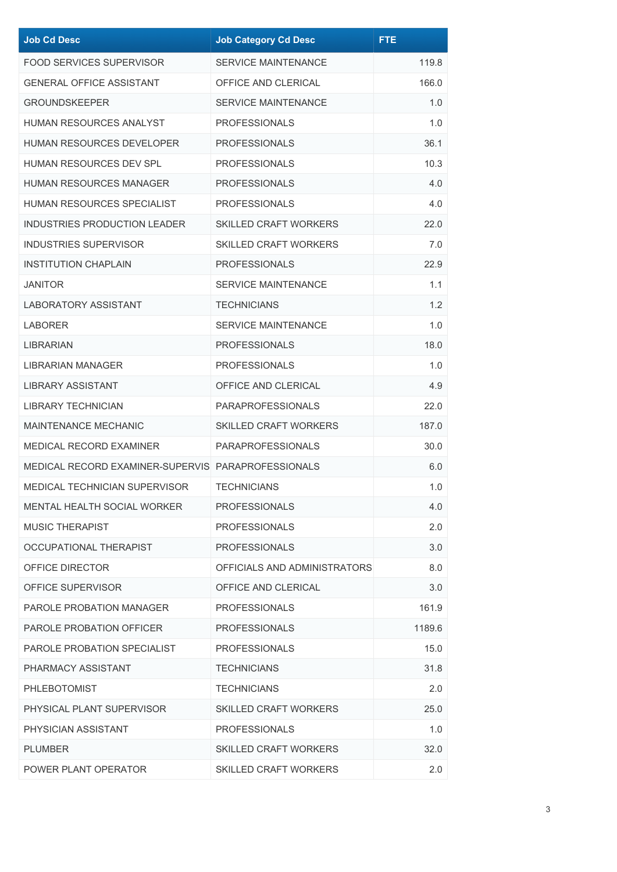| <b>Job Cd Desc</b>                                 | <b>Job Category Cd Desc</b>  | <b>FTE</b> |
|----------------------------------------------------|------------------------------|------------|
| FOOD SERVICES SUPERVISOR                           | <b>SERVICE MAINTENANCE</b>   | 119.8      |
| <b>GENERAL OFFICE ASSISTANT</b>                    | OFFICE AND CLERICAL          | 166.0      |
| <b>GROUNDSKEEPER</b>                               | <b>SERVICE MAINTENANCE</b>   | 1.0        |
| <b>HUMAN RESOURCES ANALYST</b>                     | <b>PROFESSIONALS</b>         | 1.0        |
| HUMAN RESOURCES DEVELOPER                          | <b>PROFESSIONALS</b>         | 36.1       |
| HUMAN RESOURCES DEV SPL                            | <b>PROFESSIONALS</b>         | 10.3       |
| HUMAN RESOURCES MANAGER                            | <b>PROFESSIONALS</b>         | 4.0        |
| HUMAN RESOURCES SPECIALIST                         | <b>PROFESSIONALS</b>         | 4.0        |
| INDUSTRIES PRODUCTION LEADER                       | <b>SKILLED CRAFT WORKERS</b> | 22.0       |
| <b>INDUSTRIES SUPERVISOR</b>                       | <b>SKILLED CRAFT WORKERS</b> | 7.0        |
| <b>INSTITUTION CHAPLAIN</b>                        | <b>PROFESSIONALS</b>         | 22.9       |
| JANITOR                                            | <b>SERVICE MAINTENANCE</b>   | 1.1        |
| <b>LABORATORY ASSISTANT</b>                        | <b>TECHNICIANS</b>           | 1.2        |
| LABORER                                            | <b>SERVICE MAINTENANCE</b>   | 1.0        |
| LIBRARIAN                                          | <b>PROFESSIONALS</b>         | 18.0       |
| <b>LIBRARIAN MANAGER</b>                           | <b>PROFESSIONALS</b>         | 1.0        |
| LIBRARY ASSISTANT                                  | OFFICE AND CLERICAL          | 4.9        |
| <b>LIBRARY TECHNICIAN</b>                          | <b>PARAPROFESSIONALS</b>     | 22.0       |
| <b>MAINTENANCE MECHANIC</b>                        | <b>SKILLED CRAFT WORKERS</b> | 187.0      |
| MEDICAL RECORD EXAMINER                            | <b>PARAPROFESSIONALS</b>     | 30.0       |
| MEDICAL RECORD EXAMINER-SUPERVIS PARAPROFESSIONALS |                              | 6.0        |
| <b>MEDICAL TECHNICIAN SUPERVISOR</b>               | <b>TECHNICIANS</b>           | 1.0        |
| MENTAL HEALTH SOCIAL WORKER                        | <b>PROFESSIONALS</b>         | 4.0        |
| MUSIC THERAPIST                                    | <b>PROFESSIONALS</b>         | 2.0        |
| OCCUPATIONAL THERAPIST                             | <b>PROFESSIONALS</b>         | 3.0        |
| OFFICE DIRECTOR                                    | OFFICIALS AND ADMINISTRATORS | 8.0        |
| OFFICE SUPERVISOR                                  | OFFICE AND CLERICAL          | 3.0        |
| PAROLE PROBATION MANAGER                           | <b>PROFESSIONALS</b>         | 161.9      |
| PAROLE PROBATION OFFICER                           | <b>PROFESSIONALS</b>         | 1189.6     |
| PAROLE PROBATION SPECIALIST                        | <b>PROFESSIONALS</b>         | 15.0       |
| PHARMACY ASSISTANT                                 | <b>TECHNICIANS</b>           | 31.8       |
| <b>PHLEBOTOMIST</b>                                | <b>TECHNICIANS</b>           | 2.0        |
| PHYSICAL PLANT SUPERVISOR                          | <b>SKILLED CRAFT WORKERS</b> | 25.0       |
| PHYSICIAN ASSISTANT                                | <b>PROFESSIONALS</b>         | 1.0        |
| PLUMBER                                            | <b>SKILLED CRAFT WORKERS</b> | 32.0       |
| POWER PLANT OPERATOR                               | <b>SKILLED CRAFT WORKERS</b> | 2.0        |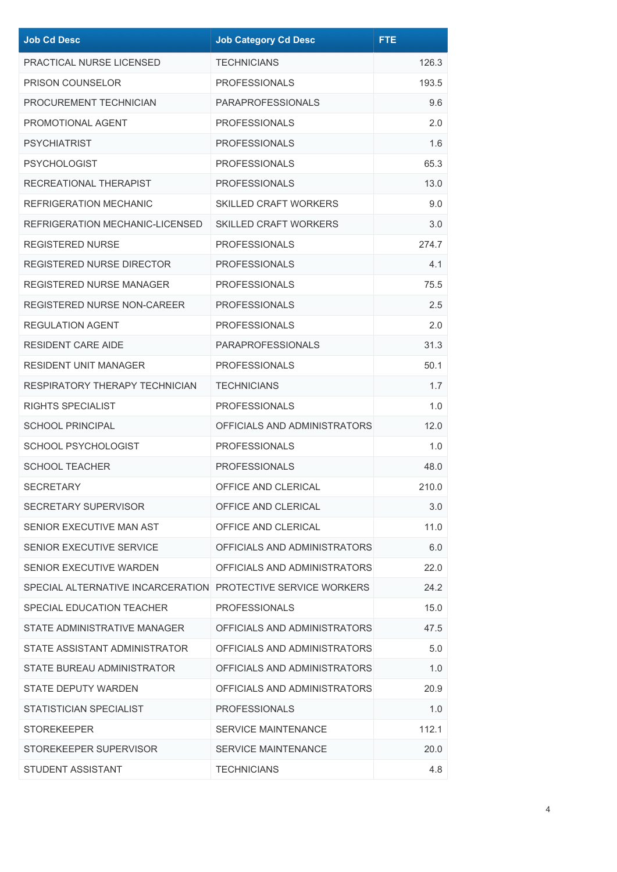| <b>Job Cd Desc</b>                                           | <b>Job Category Cd Desc</b>  | <b>FTE</b> |
|--------------------------------------------------------------|------------------------------|------------|
| PRACTICAL NURSE LICENSED                                     | <b>TECHNICIANS</b>           | 126.3      |
| <b>PRISON COUNSELOR</b>                                      | <b>PROFESSIONALS</b>         | 193.5      |
| PROCUREMENT TECHNICIAN                                       | <b>PARAPROFESSIONALS</b>     | 9.6        |
| PROMOTIONAL AGENT                                            | <b>PROFESSIONALS</b>         | 2.0        |
| <b>PSYCHIATRIST</b>                                          | <b>PROFESSIONALS</b>         | 1.6        |
| <b>PSYCHOLOGIST</b>                                          | <b>PROFESSIONALS</b>         | 65.3       |
| RECREATIONAL THERAPIST                                       | <b>PROFESSIONALS</b>         | 13.0       |
| <b>REFRIGERATION MECHANIC</b>                                | <b>SKILLED CRAFT WORKERS</b> | 9.0        |
| REFRIGERATION MECHANIC-LICENSED                              | <b>SKILLED CRAFT WORKERS</b> | 3.0        |
| <b>REGISTERED NURSE</b>                                      | <b>PROFESSIONALS</b>         | 274.7      |
| <b>REGISTERED NURSE DIRECTOR</b>                             | <b>PROFESSIONALS</b>         | 4.1        |
| <b>REGISTERED NURSE MANAGER</b>                              | <b>PROFESSIONALS</b>         | 75.5       |
| <b>REGISTERED NURSE NON-CAREER</b>                           | <b>PROFESSIONALS</b>         | 2.5        |
| <b>REGULATION AGENT</b>                                      | <b>PROFESSIONALS</b>         | 2.0        |
| <b>RESIDENT CARE AIDE</b>                                    | <b>PARAPROFESSIONALS</b>     | 31.3       |
| <b>RESIDENT UNIT MANAGER</b>                                 | <b>PROFESSIONALS</b>         | 50.1       |
| RESPIRATORY THERAPY TECHNICIAN                               | <b>TECHNICIANS</b>           | 1.7        |
| RIGHTS SPECIALIST                                            | <b>PROFESSIONALS</b>         | 1.0        |
| <b>SCHOOL PRINCIPAL</b>                                      | OFFICIALS AND ADMINISTRATORS | 12.0       |
| <b>SCHOOL PSYCHOLOGIST</b>                                   | <b>PROFESSIONALS</b>         | 1.0        |
| <b>SCHOOL TEACHER</b>                                        | <b>PROFESSIONALS</b>         | 48.0       |
| <b>SECRETARY</b>                                             | OFFICE AND CLERICAL          | 210.0      |
| SECRETARY SUPERVISOR                                         | OFFICE AND CLERICAL          | 3.0        |
| SENIOR EXECUTIVE MAN AST                                     | OFFICE AND CLERICAL          | 11.0       |
| SENIOR EXECUTIVE SERVICE                                     | OFFICIALS AND ADMINISTRATORS | 6.0        |
| SENIOR EXECUTIVE WARDEN                                      | OFFICIALS AND ADMINISTRATORS | 22.0       |
| SPECIAL ALTERNATIVE INCARCERATION PROTECTIVE SERVICE WORKERS |                              | 24.2       |
| SPECIAL EDUCATION TEACHER                                    | <b>PROFESSIONALS</b>         | 15.0       |
| STATE ADMINISTRATIVE MANAGER                                 | OFFICIALS AND ADMINISTRATORS | 47.5       |
| STATE ASSISTANT ADMINISTRATOR                                | OFFICIALS AND ADMINISTRATORS | 5.0        |
| STATE BUREAU ADMINISTRATOR                                   | OFFICIALS AND ADMINISTRATORS | 1.0        |
| <b>STATE DEPUTY WARDEN</b>                                   | OFFICIALS AND ADMINISTRATORS | 20.9       |
| STATISTICIAN SPECIALIST                                      | <b>PROFESSIONALS</b>         | 1.0        |
| <b>STOREKEEPER</b>                                           | SERVICE MAINTENANCE          | 112.1      |
| STOREKEEPER SUPERVISOR                                       | <b>SERVICE MAINTENANCE</b>   | 20.0       |
| STUDENT ASSISTANT                                            | <b>TECHNICIANS</b>           | 4.8        |